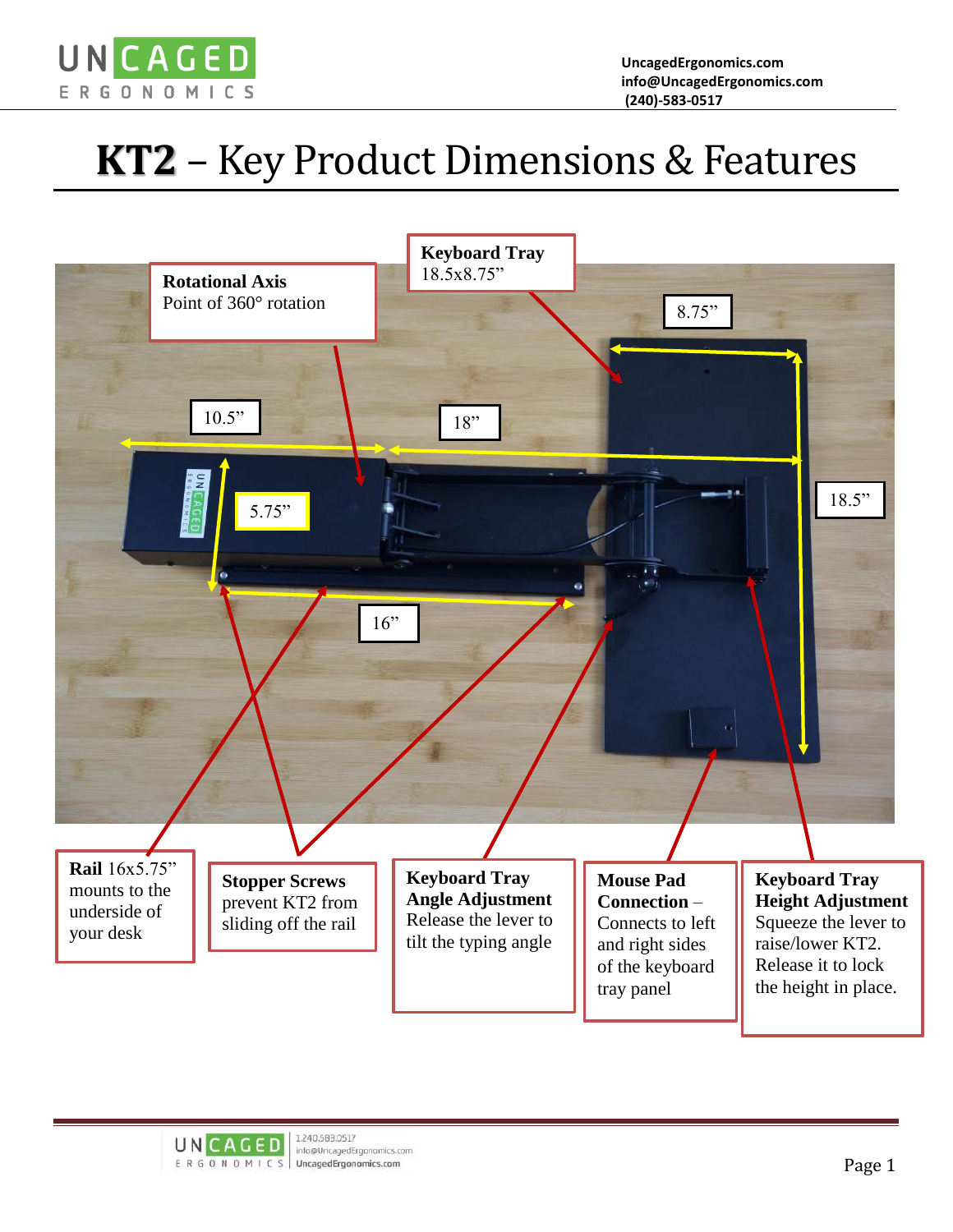

## **KT2** – Key Product Dimensions & Features



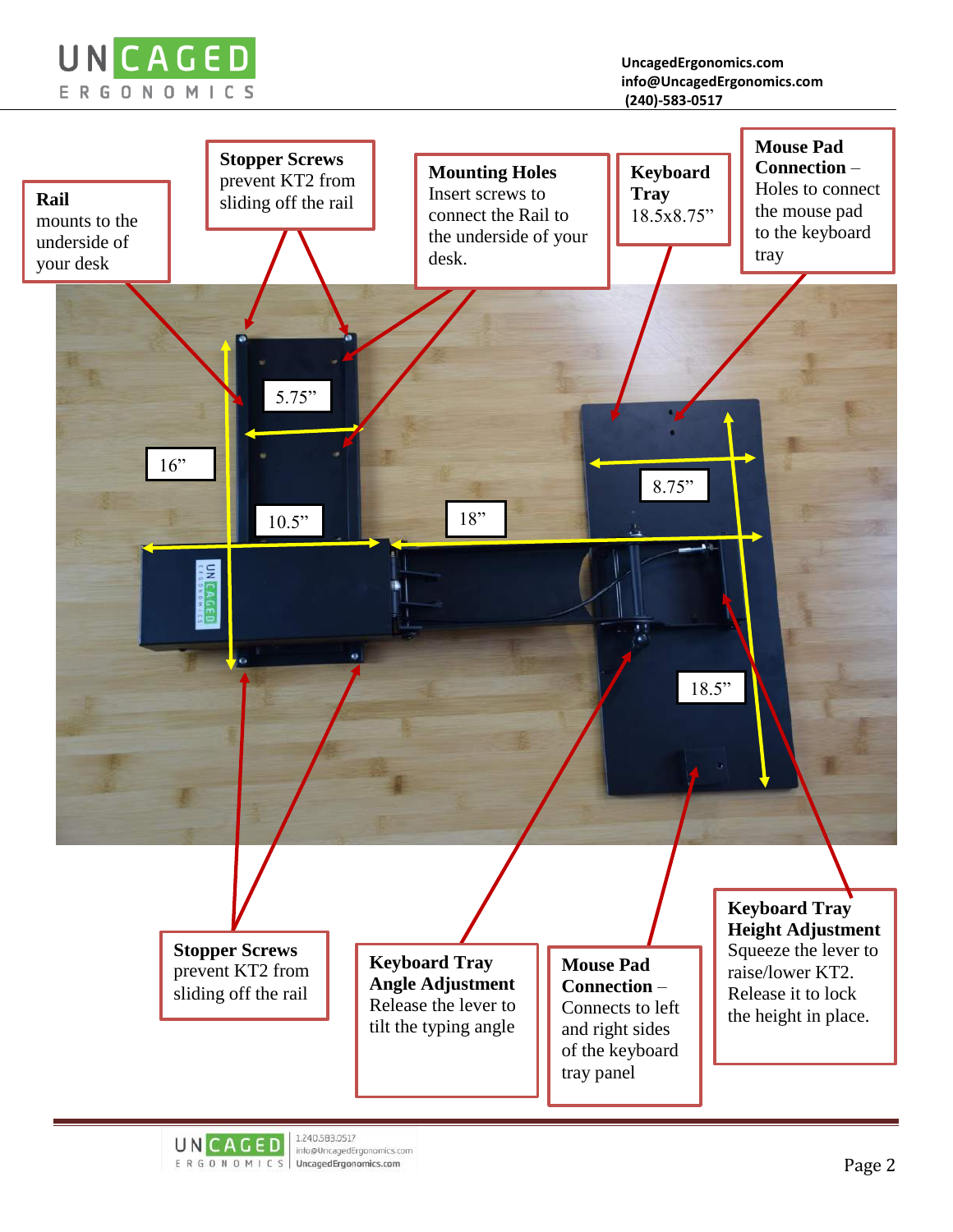